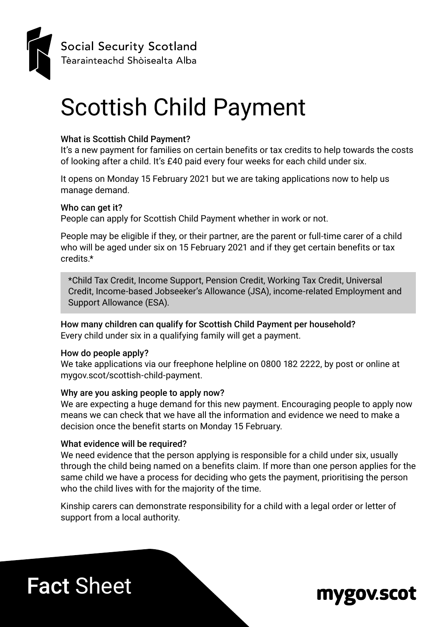

Social Security Scotland Tèarainteachd Shòisealta Alba

# Scottish Child Payment

#### What is Scottish Child Payment?

It's a new payment for families on certain benefits or tax credits to help towards the costs of looking after a child. It's £40 paid every four weeks for each child under six.

It opens on Monday 15 February 2021 but we are taking applications now to help us manage demand.

#### Who can get it?

People can apply for Scottish Child Payment whether in work or not.

People may be eligible if they, or their partner, are the parent or full-time carer of a child who will be aged under six on 15 February 2021 and if they get certain benefits or tax credits.\*

\*Child Tax Credit, Income Support, Pension Credit, Working Tax Credit, Universal Credit, Income-based Jobseeker's Allowance (JSA), income-related Employment and Support Allowance (ESA).

How many children can qualify for Scottish Child Payment per household? Every child under six in a qualifying family will get a payment.

#### How do people apply?

We take applications via our freephone helpline on 0800 182 2222, by post or online at mygov.scot/scottish-child-payment.

#### Why are you asking people to apply now?

We are expecting a huge demand for this new payment. Encouraging people to apply now means we can check that we have all the information and evidence we need to make a decision once the benefit starts on Monday 15 February.

#### What evidence will be required?

We need evidence that the person applying is responsible for a child under six, usually through the child being named on a benefits claim. If more than one person applies for the same child we have a process for deciding who gets the payment, prioritising the person who the child lives with for the majority of the time.

Kinship carers can demonstrate responsibility for a child with a legal order or letter of support from a local authority.

# Fact Sheet

### mygov.scot